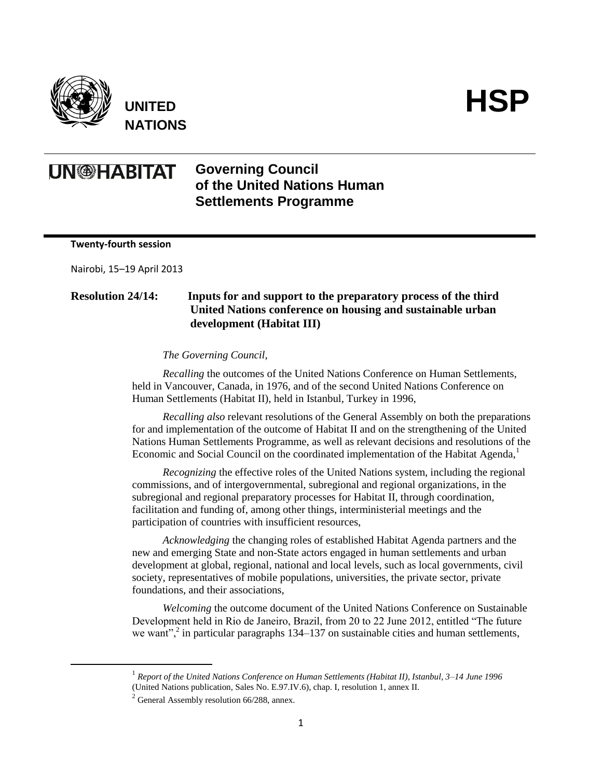

 $\overline{a}$ 

**UNITED NATIONS**



## **UN@HABITAT Governing Council of the United Nations Human Settlements Programme**

**Twenty-fourth session**

Nairobi, 15–19 April 2013

## **Resolution 24/14: Inputs for and support to the preparatory process of the third United Nations conference on housing and sustainable urban development (Habitat III)**

*The Governing Council,* 

*Recalling* the outcomes of the United Nations Conference on Human Settlements, held in Vancouver, Canada, in 1976, and of the second United Nations Conference on Human Settlements (Habitat II), held in Istanbul, Turkey in 1996,

*Recalling also* relevant resolutions of the General Assembly on both the preparations for and implementation of the outcome of Habitat II and on the strengthening of the United Nations Human Settlements Programme, as well as relevant decisions and resolutions of the Economic and Social Council on the coordinated implementation of the Habitat Agenda,<sup>1</sup>

*Recognizing* the effective roles of the United Nations system, including the regional commissions, and of intergovernmental, subregional and regional organizations, in the subregional and regional preparatory processes for Habitat II, through coordination, facilitation and funding of, among other things, interministerial meetings and the participation of countries with insufficient resources,

*Acknowledging* the changing roles of established Habitat Agenda partners and the new and emerging State and non-State actors engaged in human settlements and urban development at global, regional, national and local levels, such as local governments, civil society, representatives of mobile populations, universities, the private sector, private foundations, and their associations,

*Welcoming* the outcome document of the United Nations Conference on Sustainable Development held in Rio de Janeiro, Brazil, from 20 to 22 June 2012, entitled "The future we want",<sup>2</sup> in particular paragraphs 134–137 on sustainable cities and human settlements,

<sup>&</sup>lt;sup>1</sup> Report of the United Nations Conference on Human Settlements (Habitat II), Istanbul, 3–14 June 1996 (United Nations publication, Sales No. E.97.IV.6), chap. I, resolution 1, annex II.

 $^{2}$  General Assembly resolution 66/288, annex.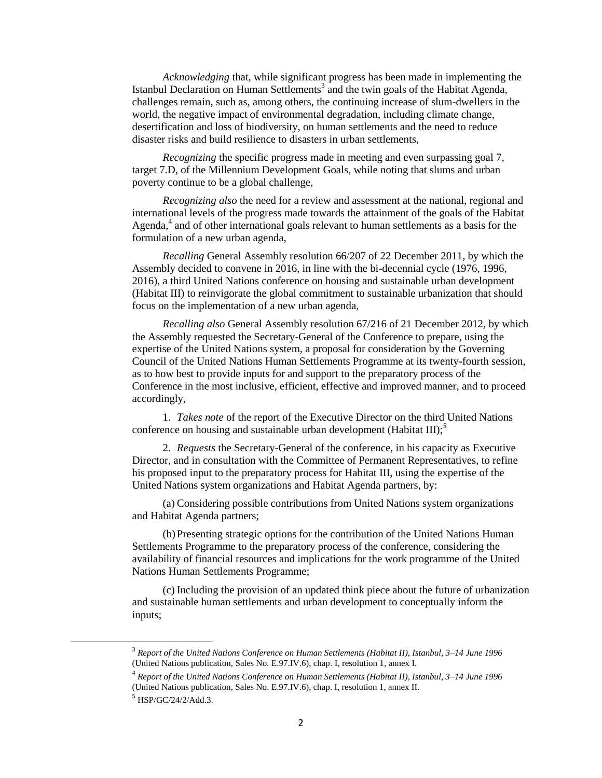*Acknowledging* that, while significant progress has been made in implementing the Istanbul Declaration on Human Settlements<sup>3</sup> and the twin goals of the Habitat Agenda, challenges remain, such as, among others, the continuing increase of slum-dwellers in the world, the negative impact of environmental degradation, including climate change, desertification and loss of biodiversity, on human settlements and the need to reduce disaster risks and build resilience to disasters in urban settlements,

*Recognizing* the specific progress made in meeting and even surpassing goal 7, target 7.D, of the Millennium Development Goals, while noting that slums and urban poverty continue to be a global challenge,

*Recognizing also* the need for a review and assessment at the national, regional and international levels of the progress made towards the attainment of the goals of the Habitat Agenda,<sup>4</sup> and of other international goals relevant to human settlements as a basis for the formulation of a new urban agenda,

*Recalling* General Assembly resolution 66/207 of 22 December 2011, by which the Assembly decided to convene in 2016, in line with the bi-decennial cycle (1976, 1996, 2016), a third United Nations conference on housing and sustainable urban development (Habitat III) to reinvigorate the global commitment to sustainable urbanization that should focus on the implementation of a new urban agenda,

*Recalling also* General Assembly resolution 67/216 of 21 December 2012, by which the Assembly requested the Secretary-General of the Conference to prepare, using the expertise of the United Nations system, a proposal for consideration by the Governing Council of the United Nations Human Settlements Programme at its twenty-fourth session, as to how best to provide inputs for and support to the preparatory process of the Conference in the most inclusive, efficient, effective and improved manner, and to proceed accordingly,

1. *Takes note* of the report of the Executive Director on the third United Nations conference on housing and sustainable urban development (Habitat III);<sup>5</sup>

2. *Requests* the Secretary-General of the conference, in his capacity as Executive Director, and in consultation with the Committee of Permanent Representatives, to refine his proposed input to the preparatory process for Habitat III, using the expertise of the United Nations system organizations and Habitat Agenda partners, by:

(a) Considering possible contributions from United Nations system organizations and Habitat Agenda partners;

(b)Presenting strategic options for the contribution of the United Nations Human Settlements Programme to the preparatory process of the conference, considering the availability of financial resources and implications for the work programme of the United Nations Human Settlements Programme;

(c) Including the provision of an updated think piece about the future of urbanization and sustainable human settlements and urban development to conceptually inform the inputs;

 $\overline{a}$ 

<sup>3</sup> *Report of the United Nations Conference on Human Settlements (Habitat II), Istanbul, 3–14 June 1996* (United Nations publication, Sales No. E.97.IV.6), chap. I, resolution 1, annex I.

<sup>4</sup> *Report of the United Nations Conference on Human Settlements (Habitat II), Istanbul, 3–14 June 1996*  (United Nations publication, Sales No. E.97.IV.6), chap. I, resolution 1, annex II.

<sup>5</sup> HSP/GC/24/2/Add.3.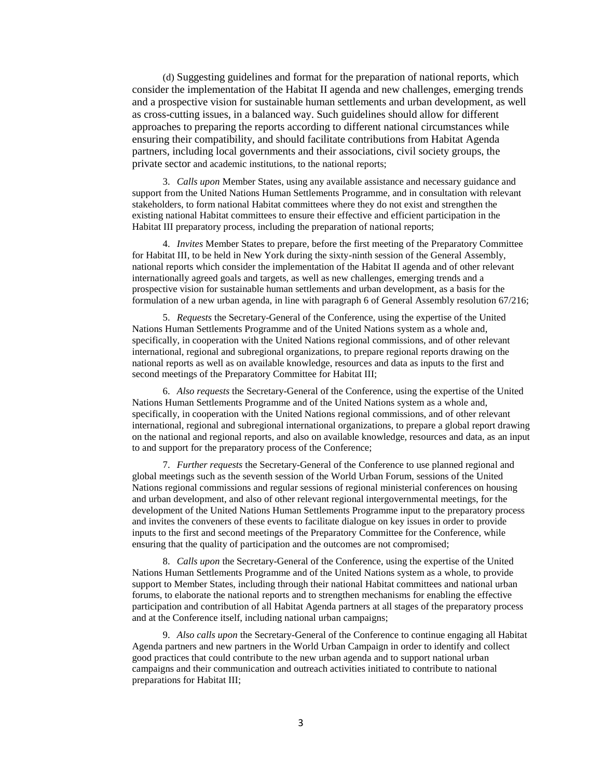(d) Suggesting guidelines and format for the preparation of national reports, which consider the implementation of the Habitat II agenda and new challenges, emerging trends and a prospective vision for sustainable human settlements and urban development, as well as cross-cutting issues, in a balanced way. Such guidelines should allow for different approaches to preparing the reports according to different national circumstances while ensuring their compatibility, and should facilitate contributions from Habitat Agenda partners, including local governments and their associations, civil society groups, the private sector and academic institutions, to the national reports;

3. *Calls upon* Member States, using any available assistance and necessary guidance and support from the United Nations Human Settlements Programme, and in consultation with relevant stakeholders, to form national Habitat committees where they do not exist and strengthen the existing national Habitat committees to ensure their effective and efficient participation in the Habitat III preparatory process, including the preparation of national reports;

4. *Invites* Member States to prepare, before the first meeting of the Preparatory Committee for Habitat III, to be held in New York during the sixty-ninth session of the General Assembly, national reports which consider the implementation of the Habitat II agenda and of other relevant internationally agreed goals and targets, as well as new challenges, emerging trends and a prospective vision for sustainable human settlements and urban development, as a basis for the formulation of a new urban agenda, in line with paragraph 6 of General Assembly resolution 67/216;

5. *Requests* the Secretary-General of the Conference, using the expertise of the United Nations Human Settlements Programme and of the United Nations system as a whole and, specifically, in cooperation with the United Nations regional commissions, and of other relevant international, regional and subregional organizations, to prepare regional reports drawing on the national reports as well as on available knowledge, resources and data as inputs to the first and second meetings of the Preparatory Committee for Habitat III;

6. *Also requests* the Secretary-General of the Conference, using the expertise of the United Nations Human Settlements Programme and of the United Nations system as a whole and, specifically, in cooperation with the United Nations regional commissions, and of other relevant international, regional and subregional international organizations, to prepare a global report drawing on the national and regional reports, and also on available knowledge, resources and data, as an input to and support for the preparatory process of the Conference;

7. *Further requests* the Secretary-General of the Conference to use planned regional and global meetings such as the seventh session of the World Urban Forum, sessions of the United Nations regional commissions and regular sessions of regional ministerial conferences on housing and urban development, and also of other relevant regional intergovernmental meetings, for the development of the United Nations Human Settlements Programme input to the preparatory process and invites the conveners of these events to facilitate dialogue on key issues in order to provide inputs to the first and second meetings of the Preparatory Committee for the Conference, while ensuring that the quality of participation and the outcomes are not compromised;

8. *Calls upon* the Secretary-General of the Conference, using the expertise of the United Nations Human Settlements Programme and of the United Nations system as a whole, to provide support to Member States, including through their national Habitat committees and national urban forums, to elaborate the national reports and to strengthen mechanisms for enabling the effective participation and contribution of all Habitat Agenda partners at all stages of the preparatory process and at the Conference itself, including national urban campaigns;

9. *Also calls upon* the Secretary-General of the Conference to continue engaging all Habitat Agenda partners and new partners in the World Urban Campaign in order to identify and collect good practices that could contribute to the new urban agenda and to support national urban campaigns and their communication and outreach activities initiated to contribute to national preparations for Habitat III;